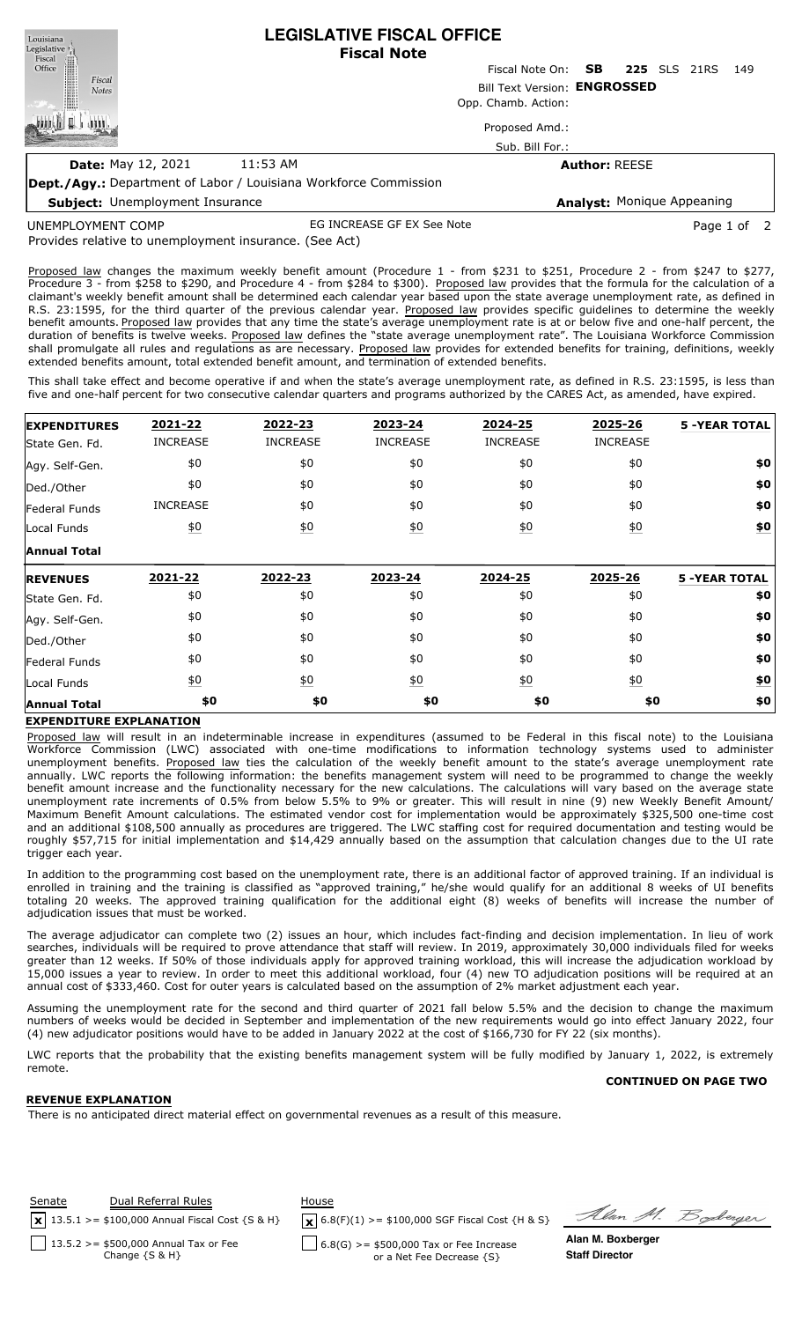| Louisiana                                                               | <b>LEGISLATIVE FISCAL OFFICE</b> |                              |                      |                            |       |  |
|-------------------------------------------------------------------------|----------------------------------|------------------------------|----------------------|----------------------------|-------|--|
| Legislative <sub>I</sub>                                                |                                  | <b>Fiscal Note</b>           |                      |                            |       |  |
|                                                                         |                                  | Fiscal Note On: <b>SB</b>    |                      | <b>225</b> SLS 21RS        | - 149 |  |
| Fiscal<br>Office<br>Contract<br>Fiscal<br><b>Notes</b>                  |                                  | Bill Text Version: ENGROSSED |                      |                            |       |  |
|                                                                         |                                  | Opp. Chamb. Action:          |                      |                            |       |  |
|                                                                         |                                  | Proposed Amd.:               |                      |                            |       |  |
|                                                                         |                                  | Sub. Bill For.:              |                      |                            |       |  |
| <b>Date: May 12, 2021</b>                                               | 11:53 AM                         |                              | <b>Author: REESE</b> |                            |       |  |
| <b>Dept./Agy.:</b> Department of Labor / Louisiana Workforce Commission |                                  |                              |                      |                            |       |  |
| <b>Subject:</b> Unemployment Insurance                                  |                                  |                              |                      | Analyst: Monique Appeaning |       |  |

UNEMPLOYMENT COMP

EG INCREASE GF EX See Note **Page 1 of 2** 

Provides relative to unemployment insurance. (See Act)

Proposed law changes the maximum weekly benefit amount (Procedure 1 - from \$231 to \$251, Procedure 2 - from \$247 to \$277, Procedure 3 - from \$258 to \$290, and Procedure 4 - from \$284 to \$300). Proposed law provides that the formula for the calculation of a claimant's weekly benefit amount shall be determined each calendar year based upon the state average unemployment rate, as defined in R.S. 23:1595, for the third quarter of the previous calendar year. Proposed law provides specific guidelines to determine the weekly benefit amounts. Proposed law provides that any time the state's average unemployment rate is at or below five and one-half percent, the duration of benefits is twelve weeks. Proposed law defines the "state average unemployment rate". The Louisiana Workforce Commission shall promulgate all rules and regulations as are necessary. Proposed law provides for extended benefits for training, definitions, weekly extended benefits amount, total extended benefit amount, and termination of extended benefits.

This shall take effect and become operative if and when the state's average unemployment rate, as defined in R.S. 23:1595, is less than five and one-half percent for two consecutive calendar quarters and programs authorized by the CARES Act, as amended, have expired.

| <b>EXPENDITURES</b>  | 2021-22          | 2022-23          | 2023-24          | 2024-25         | 2025-26          | <b>5 -YEAR TOTAL</b> |
|----------------------|------------------|------------------|------------------|-----------------|------------------|----------------------|
| State Gen. Fd.       | <b>INCREASE</b>  | <b>INCREASE</b>  | <b>INCREASE</b>  | <b>INCREASE</b> | <b>INCREASE</b>  |                      |
| Agy. Self-Gen.       | \$0              | \$0              | \$0              | \$0             | \$0              | \$0                  |
| Ded./Other           | \$0              | \$0              | \$0              | \$0             | \$0              | \$0                  |
| Federal Funds        | <b>INCREASE</b>  | \$0              | \$0              | \$0             | \$0              | \$0                  |
| Local Funds          | $\underline{50}$ | $\underline{40}$ | $\underline{50}$ | 60              | $\underline{50}$ | \$0                  |
| <b>Annual Total</b>  |                  |                  |                  |                 |                  |                      |
| <b>REVENUES</b>      | 2021-22          | 2022-23          | 2023-24          | 2024-25         | 2025-26          | <b>5 -YEAR TOTAL</b> |
| State Gen. Fd.       | \$0              | \$0              | \$0              | \$0             | \$0              | \$0                  |
| Agy. Self-Gen.       | \$0              | \$0              | \$0              | \$0             | \$0              | \$0                  |
| Ded./Other           |                  |                  |                  |                 |                  |                      |
|                      | \$0              | \$0              | \$0              | \$0             | \$0              | \$0                  |
| <b>Federal Funds</b> | \$0              | \$0              | \$0              | \$0             | \$0              | \$0                  |
| Local Funds          | $\underline{50}$ | 60               | $\underline{50}$ | 60              | $\underline{50}$ | \$0                  |

# **EXPENDITURE EXPLANATION**

Proposed law will result in an indeterminable increase in expenditures (assumed to be Federal in this fiscal note) to the Louisiana Workforce Commission (LWC) associated with one-time modifications to information technology systems used to administer unemployment benefits. Proposed law ties the calculation of the weekly benefit amount to the state's average unemployment rate annually. LWC reports the following information: the benefits management system will need to be programmed to change the weekly benefit amount increase and the functionality necessary for the new calculations. The calculations will vary based on the average state unemployment rate increments of 0.5% from below 5.5% to 9% or greater. This will result in nine (9) new Weekly Benefit Amount/ Maximum Benefit Amount calculations. The estimated vendor cost for implementation would be approximately \$325,500 one-time cost and an additional \$108,500 annually as procedures are triggered. The LWC staffing cost for required documentation and testing would be roughly \$57,715 for initial implementation and \$14,429 annually based on the assumption that calculation changes due to the UI rate trigger each year.

In addition to the programming cost based on the unemployment rate, there is an additional factor of approved training. If an individual is enrolled in training and the training is classified as "approved training," he/she would qualify for an additional 8 weeks of UI benefits totaling 20 weeks. The approved training qualification for the additional eight (8) weeks of benefits will increase the number of adjudication issues that must be worked.

The average adjudicator can complete two (2) issues an hour, which includes fact-finding and decision implementation. In lieu of work searches, individuals will be required to prove attendance that staff will review. In 2019, approximately 30,000 individuals filed for weeks greater than 12 weeks. If 50% of those individuals apply for approved training workload, this will increase the adjudication workload by 15,000 issues a year to review. In order to meet this additional workload, four (4) new TO adjudication positions will be required at an annual cost of \$333,460. Cost for outer years is calculated based on the assumption of 2% market adjustment each year.

Assuming the unemployment rate for the second and third quarter of 2021 fall below 5.5% and the decision to change the maximum numbers of weeks would be decided in September and implementation of the new requirements would go into effect January 2022, four (4) new adjudicator positions would have to be added in January 2022 at the cost of \$166,730 for FY 22 (six months).

LWC reports that the probability that the existing benefits management system will be fully modified by January 1, 2022, is extremely remote.

# **CONTINUED ON PAGE TWO**

# **REVENUE EXPLANATION**

There is no anticipated direct material effect on governmental revenues as a result of this measure.